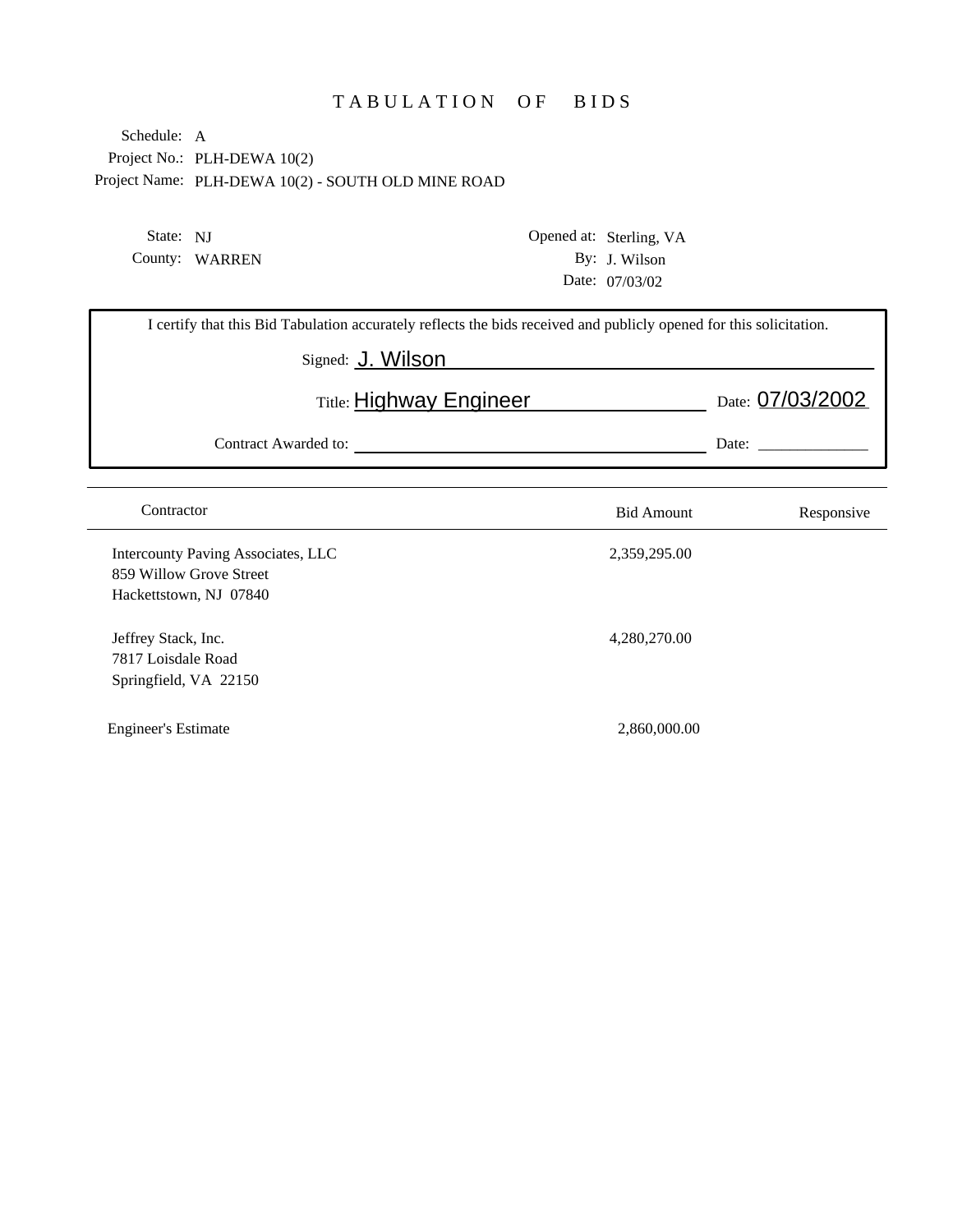## TABULATION OF BIDS

Project No.: PLH-DEWA 10(2) Project Name: PLH-DEWA 10(2) - SOUTH OLD MINE ROAD Schedule: A

State: NJ County: WARREN Opened at: Sterling, VA By: J. Wilson Date: 07/03/02

| I certify that this Bid Tabulation accurately reflects the bids received and publicly opened for this solicitation. |                   |                  |  |  |  |
|---------------------------------------------------------------------------------------------------------------------|-------------------|------------------|--|--|--|
| Signed: J. Wilson                                                                                                   |                   |                  |  |  |  |
| Title: <b>Highway Engineer</b>                                                                                      |                   | Date: 07/03/2002 |  |  |  |
| Contract Awarded to:                                                                                                |                   | Date:            |  |  |  |
|                                                                                                                     |                   |                  |  |  |  |
| Contractor                                                                                                          | <b>Bid Amount</b> | Responsive       |  |  |  |
| Intercounty Paving Associates, LLC                                                                                  | 2,359,295.00      |                  |  |  |  |
| 859 Willow Grove Street                                                                                             |                   |                  |  |  |  |
| Hackettstown, NJ 07840                                                                                              |                   |                  |  |  |  |
| Jeffrey Stack, Inc.                                                                                                 | 4,280,270.00      |                  |  |  |  |
| 7817 Loisdale Road                                                                                                  |                   |                  |  |  |  |
| Springfield, VA 22150                                                                                               |                   |                  |  |  |  |

Engineer's Estimate 2,860,000.00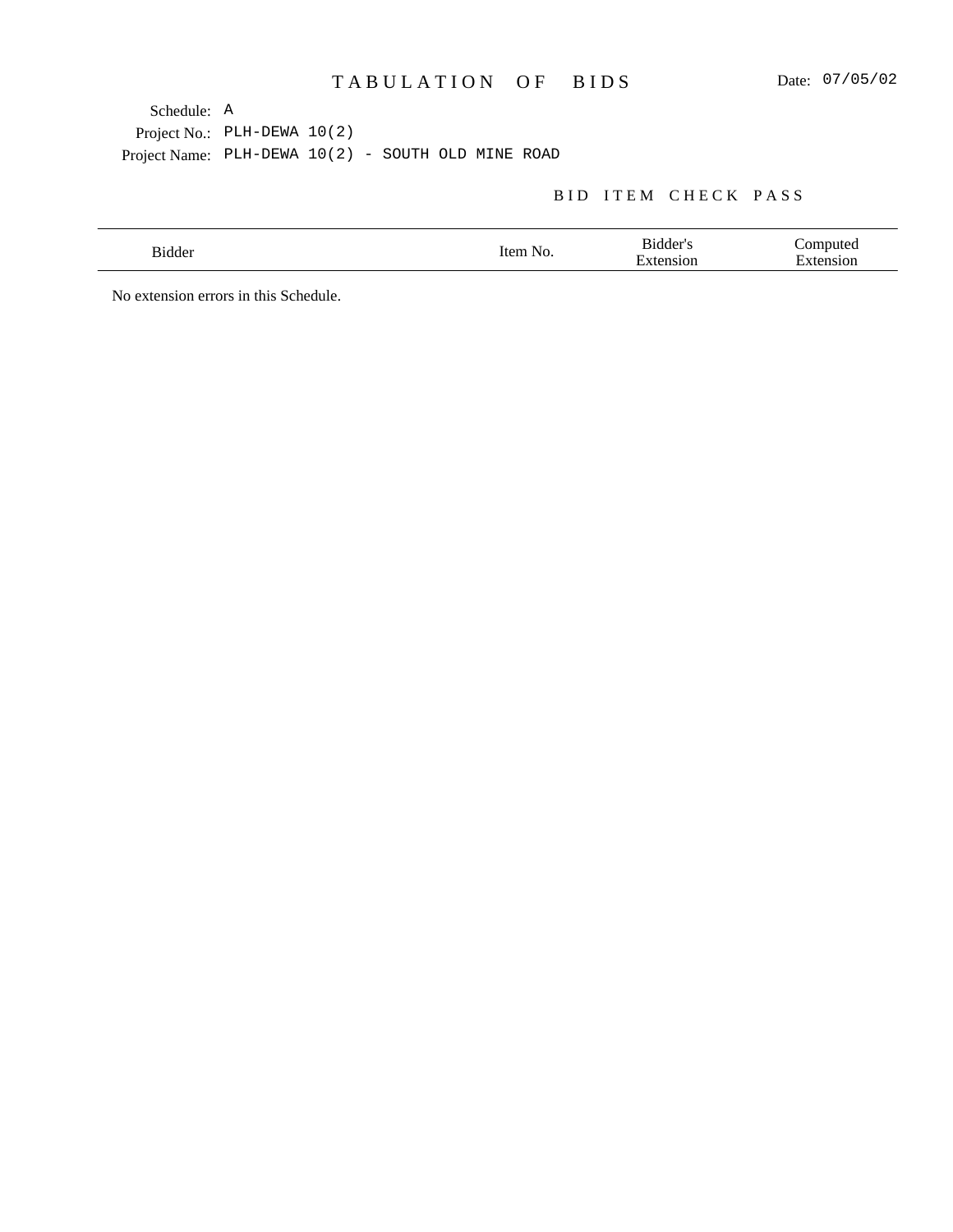## BID ITEM CHECK PASS

No extension errors in this Schedule.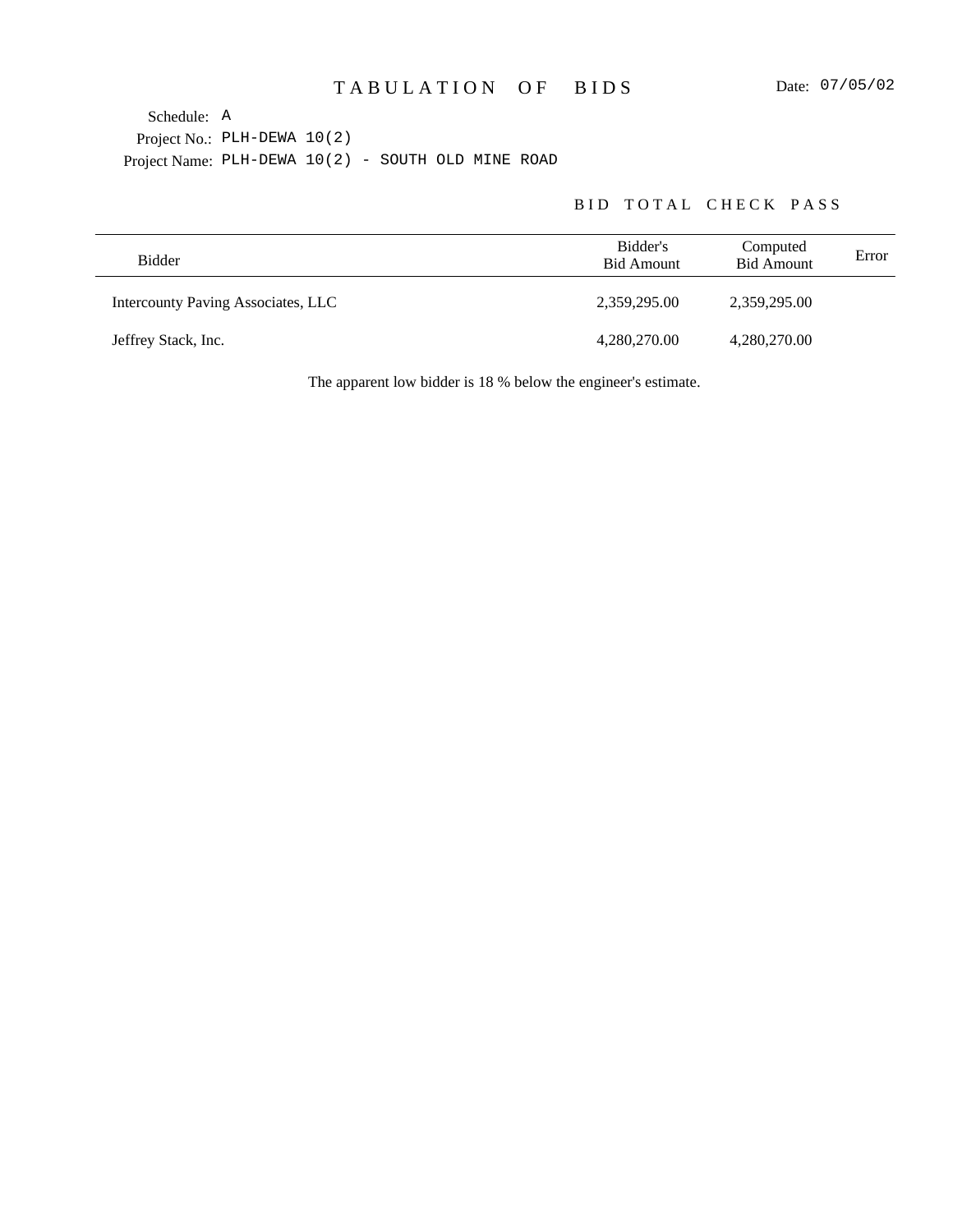## BID TOTAL CHECK PASS

| Bidder                             | Bidder's<br><b>Bid Amount</b> | Computed<br><b>Bid Amount</b> | Error |
|------------------------------------|-------------------------------|-------------------------------|-------|
| Intercounty Paving Associates, LLC | 2,359,295.00                  | 2,359,295.00                  |       |
| Jeffrey Stack, Inc.                | 4,280,270.00                  | 4,280,270.00                  |       |

The apparent low bidder is 18 % below the engineer's estimate.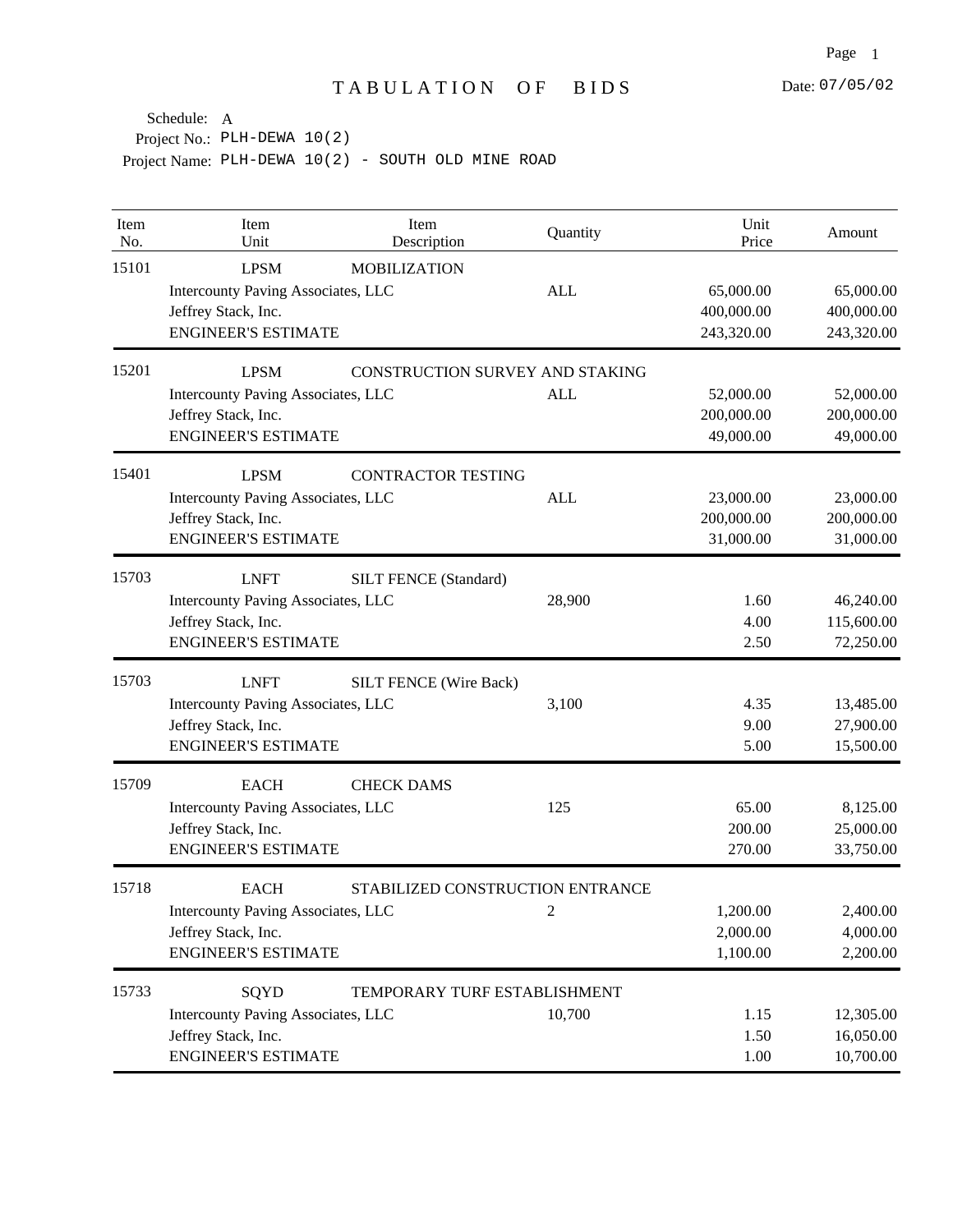| Item<br>No. | Item<br>Unit                       | Item<br>Description             | Quantity                         | Unit<br>Price | Amount     |
|-------------|------------------------------------|---------------------------------|----------------------------------|---------------|------------|
| 15101       | <b>LPSM</b>                        | <b>MOBILIZATION</b>             |                                  |               |            |
|             | Intercounty Paving Associates, LLC |                                 | <b>ALL</b>                       | 65,000.00     | 65,000.00  |
|             | Jeffrey Stack, Inc.                |                                 |                                  | 400,000.00    | 400,000.00 |
|             | <b>ENGINEER'S ESTIMATE</b>         |                                 |                                  | 243,320.00    | 243,320.00 |
| 15201       | <b>LPSM</b>                        | CONSTRUCTION SURVEY AND STAKING |                                  |               |            |
|             | Intercounty Paving Associates, LLC |                                 | <b>ALL</b>                       | 52,000.00     | 52,000.00  |
|             | Jeffrey Stack, Inc.                |                                 |                                  | 200,000.00    | 200,000.00 |
|             | <b>ENGINEER'S ESTIMATE</b>         |                                 |                                  | 49,000.00     | 49,000.00  |
| 15401       | <b>LPSM</b>                        | <b>CONTRACTOR TESTING</b>       |                                  |               |            |
|             | Intercounty Paving Associates, LLC |                                 | <b>ALL</b>                       | 23,000.00     | 23,000.00  |
|             | Jeffrey Stack, Inc.                |                                 |                                  | 200,000.00    | 200,000.00 |
|             | <b>ENGINEER'S ESTIMATE</b>         |                                 |                                  | 31,000.00     | 31,000.00  |
| 15703       | <b>LNFT</b>                        | <b>SILT FENCE (Standard)</b>    |                                  |               |            |
|             | Intercounty Paving Associates, LLC |                                 | 28,900                           | 1.60          | 46,240.00  |
|             | Jeffrey Stack, Inc.                |                                 |                                  | 4.00          | 115,600.00 |
|             | <b>ENGINEER'S ESTIMATE</b>         |                                 |                                  | 2.50          | 72,250.00  |
| 15703       | <b>LNFT</b>                        | <b>SILT FENCE (Wire Back)</b>   |                                  |               |            |
|             | Intercounty Paving Associates, LLC |                                 | 3,100                            | 4.35          | 13,485.00  |
|             | Jeffrey Stack, Inc.                |                                 |                                  | 9.00          | 27,900.00  |
|             | <b>ENGINEER'S ESTIMATE</b>         |                                 |                                  | 5.00          | 15,500.00  |
| 15709       | <b>EACH</b>                        | <b>CHECK DAMS</b>               |                                  |               |            |
|             | Intercounty Paving Associates, LLC |                                 | 125                              | 65.00         | 8,125.00   |
|             | Jeffrey Stack, Inc.                |                                 |                                  | 200.00        | 25,000.00  |
|             | <b>ENGINEER'S ESTIMATE</b>         |                                 |                                  | 270.00        | 33,750.00  |
| 15718       | <b>EACH</b>                        |                                 | STABILIZED CONSTRUCTION ENTRANCE |               |            |
|             | Intercounty Paving Associates, LLC |                                 | 2                                | 1,200.00      | 2,400.00   |
|             | Jeffrey Stack, Inc.                |                                 |                                  | 2,000.00      | 4,000.00   |
|             | <b>ENGINEER'S ESTIMATE</b>         |                                 |                                  | 1,100.00      | 2,200.00   |
| 15733       | SQYD                               | TEMPORARY TURF ESTABLISHMENT    |                                  |               |            |
|             | Intercounty Paving Associates, LLC |                                 | 10,700                           | 1.15          | 12,305.00  |
|             | Jeffrey Stack, Inc.                |                                 |                                  | 1.50          | 16,050.00  |
|             | <b>ENGINEER'S ESTIMATE</b>         |                                 |                                  | 1.00          | 10,700.00  |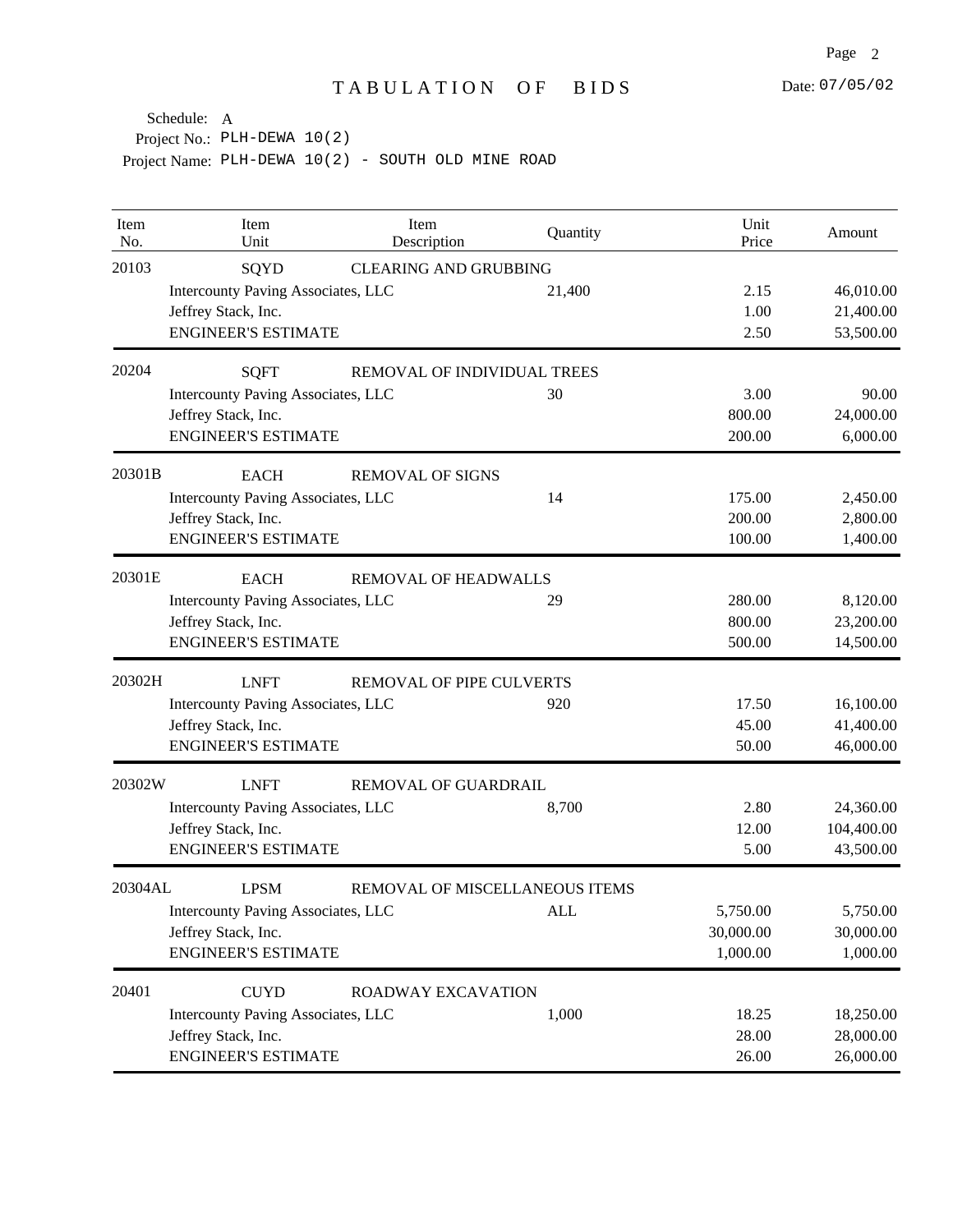| Item<br>No. | Item<br>Unit                                   | Item<br>Description            | Quantity   | Unit<br>Price | Amount     |
|-------------|------------------------------------------------|--------------------------------|------------|---------------|------------|
| 20103       | SQYD                                           | <b>CLEARING AND GRUBBING</b>   |            |               |            |
|             | Intercounty Paving Associates, LLC             |                                | 21,400     | 2.15          | 46,010.00  |
|             | Jeffrey Stack, Inc.                            |                                |            | 1.00          | 21,400.00  |
|             | <b>ENGINEER'S ESTIMATE</b>                     |                                |            | 2.50          | 53,500.00  |
| 20204       | <b>SQFT</b>                                    | REMOVAL OF INDIVIDUAL TREES    |            |               |            |
|             | Intercounty Paving Associates, LLC             |                                | 30         | 3.00          | 90.00      |
|             | Jeffrey Stack, Inc.                            |                                |            | 800.00        | 24,000.00  |
|             | <b>ENGINEER'S ESTIMATE</b>                     |                                |            | 200.00        | 6,000.00   |
| 20301B      | <b>EACH</b>                                    | <b>REMOVAL OF SIGNS</b>        |            |               |            |
|             | Intercounty Paving Associates, LLC             |                                | 14         | 175.00        | 2,450.00   |
|             | Jeffrey Stack, Inc.                            |                                |            | 200.00        | 2,800.00   |
|             | <b>ENGINEER'S ESTIMATE</b>                     |                                |            | 100.00        | 1,400.00   |
| 20301E      | <b>EACH</b>                                    | REMOVAL OF HEADWALLS           |            |               |            |
|             | Intercounty Paving Associates, LLC             |                                | 29         | 280.00        | 8,120.00   |
|             | Jeffrey Stack, Inc.                            |                                |            | 800.00        | 23,200.00  |
|             | <b>ENGINEER'S ESTIMATE</b>                     |                                |            | 500.00        | 14,500.00  |
| 20302H      | <b>LNFT</b><br><b>REMOVAL OF PIPE CULVERTS</b> |                                |            |               |            |
|             | Intercounty Paving Associates, LLC             |                                | 920        | 17.50         | 16,100.00  |
|             | Jeffrey Stack, Inc.                            |                                |            | 45.00         | 41,400.00  |
|             | <b>ENGINEER'S ESTIMATE</b>                     |                                |            | 50.00         | 46,000.00  |
| 20302W      | <b>LNFT</b>                                    | REMOVAL OF GUARDRAIL           |            |               |            |
|             | Intercounty Paving Associates, LLC             |                                | 8,700      | 2.80          | 24,360.00  |
|             | Jeffrey Stack, Inc.                            |                                |            | 12.00         | 104,400.00 |
|             | <b>ENGINEER'S ESTIMATE</b>                     |                                |            | 5.00          | 43,500.00  |
| 20304AL     | <b>LPSM</b>                                    | REMOVAL OF MISCELLANEOUS ITEMS |            |               |            |
|             | Intercounty Paving Associates, LLC             |                                | <b>ALL</b> | 5,750.00      | 5,750.00   |
|             | Jeffrey Stack, Inc.                            |                                |            | 30,000.00     | 30,000.00  |
|             | <b>ENGINEER'S ESTIMATE</b>                     |                                |            | 1,000.00      | 1,000.00   |
| 20401       | <b>CUYD</b>                                    | ROADWAY EXCAVATION             |            |               |            |
|             | Intercounty Paving Associates, LLC             |                                | 1,000      | 18.25         | 18,250.00  |
|             | Jeffrey Stack, Inc.                            |                                |            | 28.00         | 28,000.00  |
|             | <b>ENGINEER'S ESTIMATE</b>                     |                                |            | 26.00         | 26,000.00  |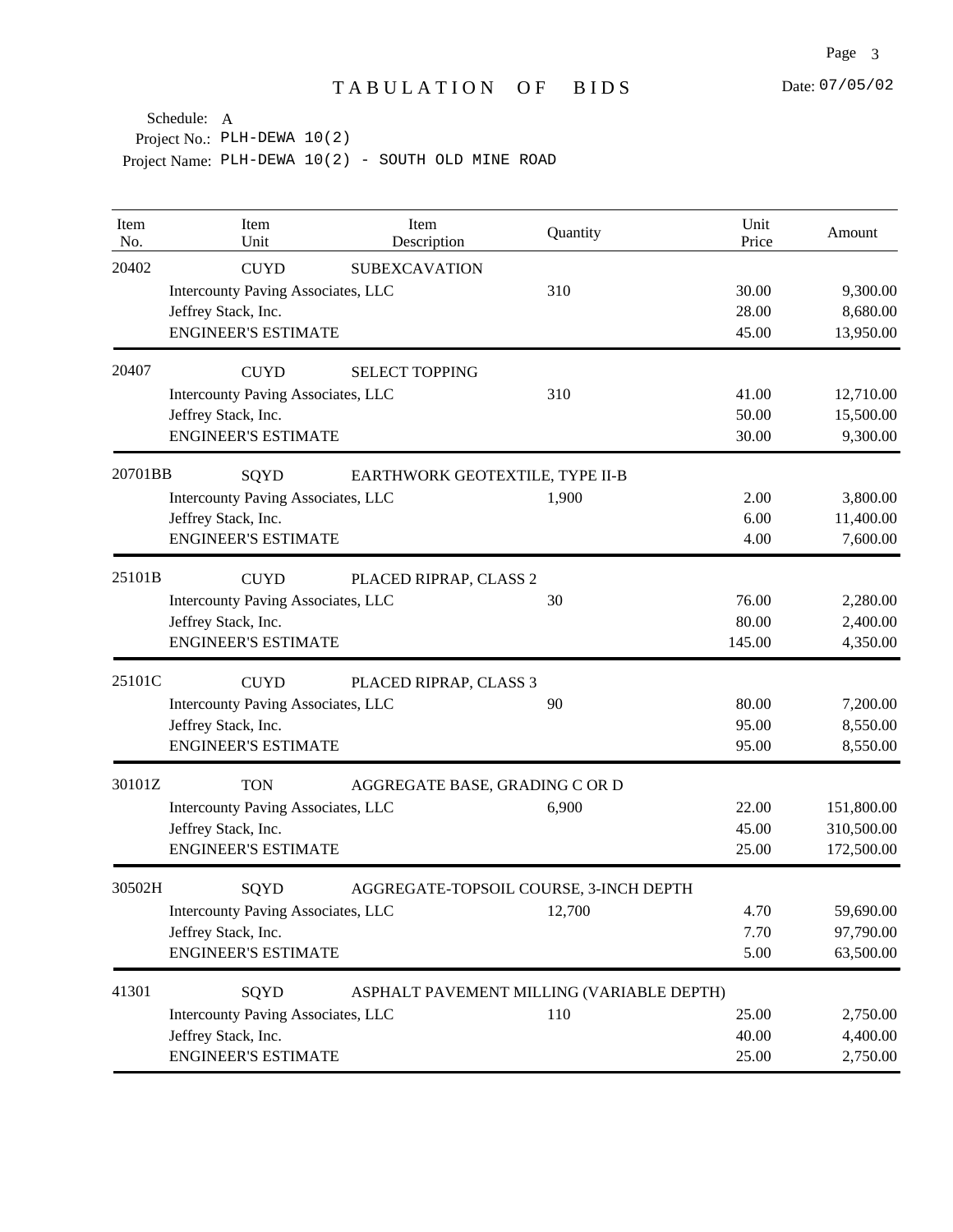| Item<br>No. | Item<br>Unit                              | Item<br>Description                       | Quantity | Unit<br>Price | Amount     |
|-------------|-------------------------------------------|-------------------------------------------|----------|---------------|------------|
| 20402       | <b>CUYD</b>                               | <b>SUBEXCAVATION</b>                      |          |               |            |
|             | Intercounty Paving Associates, LLC        |                                           | 310      | 30.00         | 9,300.00   |
|             | Jeffrey Stack, Inc.                       |                                           |          | 28.00         | 8,680.00   |
|             | <b>ENGINEER'S ESTIMATE</b>                |                                           |          | 45.00         | 13,950.00  |
| 20407       | <b>CUYD</b>                               | <b>SELECT TOPPING</b>                     |          |               |            |
|             | Intercounty Paving Associates, LLC        |                                           | 310      | 41.00         | 12,710.00  |
|             | Jeffrey Stack, Inc.                       |                                           |          | 50.00         | 15,500.00  |
|             | <b>ENGINEER'S ESTIMATE</b>                |                                           |          | 30.00         | 9,300.00   |
| 20701BB     | SQYD                                      | EARTHWORK GEOTEXTILE, TYPE II-B           |          |               |            |
|             | Intercounty Paving Associates, LLC        |                                           | 1,900    | 2.00          | 3,800.00   |
|             | Jeffrey Stack, Inc.                       |                                           |          | 6.00          | 11,400.00  |
|             | <b>ENGINEER'S ESTIMATE</b>                |                                           |          | 4.00          | 7,600.00   |
| 25101B      | <b>CUYD</b>                               | PLACED RIPRAP, CLASS 2                    |          |               |            |
|             | Intercounty Paving Associates, LLC        |                                           | 30       | 76.00         | 2,280.00   |
|             | Jeffrey Stack, Inc.                       |                                           |          | 80.00         | 2,400.00   |
|             | <b>ENGINEER'S ESTIMATE</b>                |                                           |          | 145.00        | 4,350.00   |
| 25101C      | <b>CUYD</b>                               | PLACED RIPRAP, CLASS 3                    |          |               |            |
|             | Intercounty Paving Associates, LLC        |                                           | 90       | 80.00         | 7,200.00   |
|             | Jeffrey Stack, Inc.                       |                                           |          | 95.00         | 8,550.00   |
|             | <b>ENGINEER'S ESTIMATE</b>                |                                           |          | 95.00         | 8,550.00   |
| 30101Z      | <b>TON</b>                                | AGGREGATE BASE, GRADING C OR D            |          |               |            |
|             | Intercounty Paving Associates, LLC        |                                           | 6,900    | 22.00         | 151,800.00 |
|             | Jeffrey Stack, Inc.                       |                                           |          | 45.00         | 310,500.00 |
|             | <b>ENGINEER'S ESTIMATE</b>                |                                           |          | 25.00         | 172,500.00 |
| 30502H      | SQYD                                      | AGGREGATE-TOPSOIL COURSE, 3-INCH DEPTH    |          |               |            |
|             | <b>Intercounty Paving Associates, LLC</b> |                                           | 12,700   | 4.70          | 59,690.00  |
|             | Jeffrey Stack, Inc.                       |                                           |          | 7.70          | 97,790.00  |
|             | <b>ENGINEER'S ESTIMATE</b>                |                                           |          | 5.00          | 63,500.00  |
| 41301       | SQYD                                      | ASPHALT PAVEMENT MILLING (VARIABLE DEPTH) |          |               |            |
|             | Intercounty Paving Associates, LLC        |                                           | 110      | 25.00         | 2,750.00   |
|             | Jeffrey Stack, Inc.                       |                                           |          | 40.00         | 4,400.00   |
|             | <b>ENGINEER'S ESTIMATE</b>                |                                           |          | 25.00         | 2,750.00   |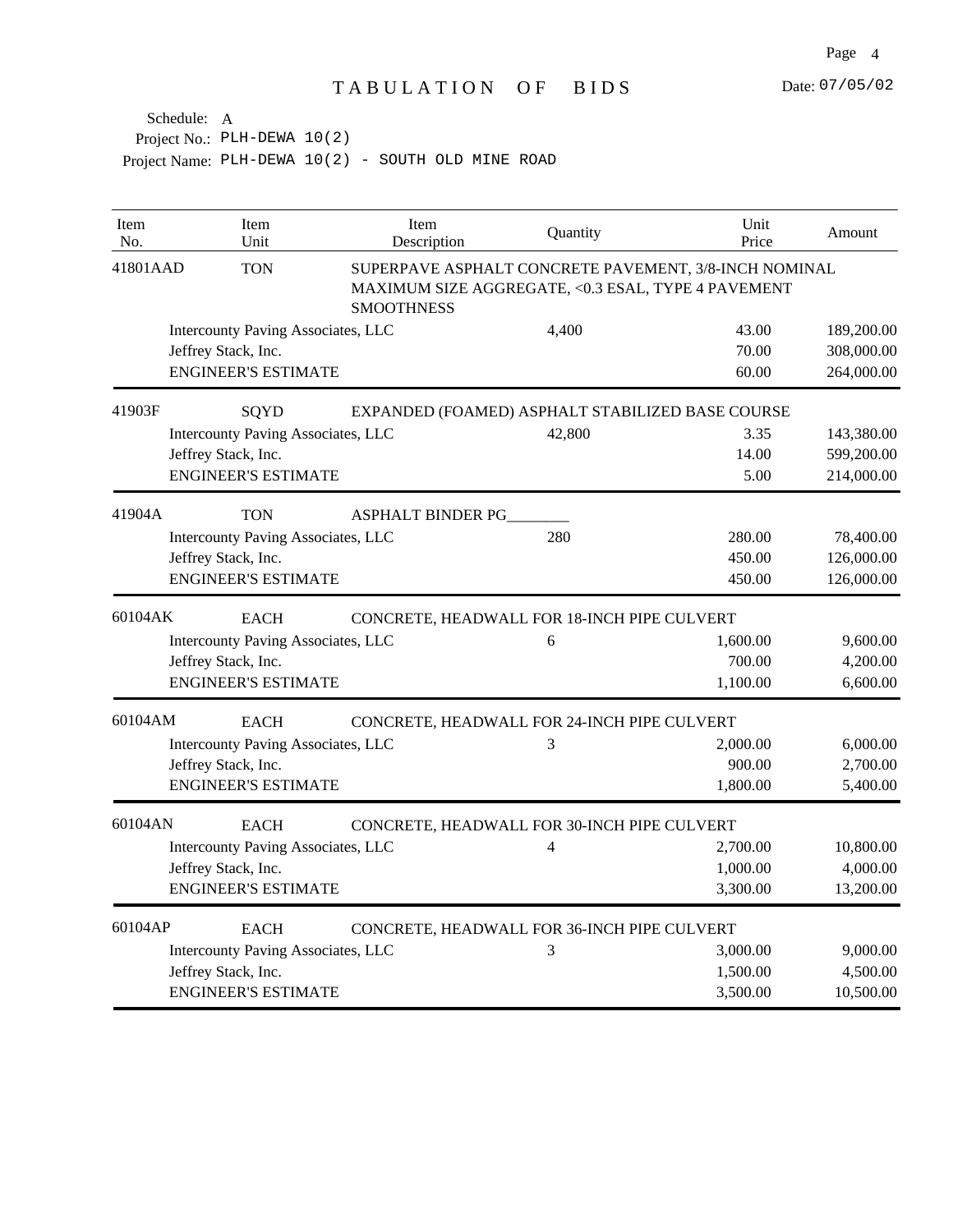| Item<br>No. | Item<br>Unit                              | Item<br>Description      | Quantity                                                                                                    | Unit<br>Price | Amount     |
|-------------|-------------------------------------------|--------------------------|-------------------------------------------------------------------------------------------------------------|---------------|------------|
| 41801AAD    | <b>TON</b>                                | <b>SMOOTHNESS</b>        | SUPERPAVE ASPHALT CONCRETE PAVEMENT, 3/8-INCH NOMINAL<br>MAXIMUM SIZE AGGREGATE, <0.3 ESAL, TYPE 4 PAVEMENT |               |            |
|             | Intercounty Paving Associates, LLC        |                          | 4,400                                                                                                       | 43.00         | 189,200.00 |
|             | Jeffrey Stack, Inc.                       |                          |                                                                                                             | 70.00         | 308,000.00 |
|             | <b>ENGINEER'S ESTIMATE</b>                |                          |                                                                                                             | 60.00         | 264,000.00 |
| 41903F      | SQYD                                      |                          | EXPANDED (FOAMED) ASPHALT STABILIZED BASE COURSE                                                            |               |            |
|             | Intercounty Paving Associates, LLC        |                          | 42,800                                                                                                      | 3.35          | 143,380.00 |
|             | Jeffrey Stack, Inc.                       |                          |                                                                                                             | 14.00         | 599,200.00 |
|             | <b>ENGINEER'S ESTIMATE</b>                |                          |                                                                                                             | 5.00          | 214,000.00 |
| 41904A      | <b>TON</b>                                | <b>ASPHALT BINDER PG</b> |                                                                                                             |               |            |
|             | <b>Intercounty Paving Associates, LLC</b> |                          | 280                                                                                                         | 280.00        | 78,400.00  |
|             | Jeffrey Stack, Inc.                       |                          |                                                                                                             | 450.00        | 126,000.00 |
|             | <b>ENGINEER'S ESTIMATE</b>                |                          |                                                                                                             | 450.00        | 126,000.00 |
| 60104AK     | <b>EACH</b>                               |                          | CONCRETE, HEADWALL FOR 18-INCH PIPE CULVERT                                                                 |               |            |
|             | Intercounty Paving Associates, LLC        |                          | 6                                                                                                           | 1,600.00      | 9,600.00   |
|             | Jeffrey Stack, Inc.                       |                          |                                                                                                             | 700.00        | 4,200.00   |
|             | <b>ENGINEER'S ESTIMATE</b>                |                          |                                                                                                             | 1,100.00      | 6,600.00   |
| 60104AM     | <b>EACH</b>                               |                          | CONCRETE, HEADWALL FOR 24-INCH PIPE CULVERT                                                                 |               |            |
|             | Intercounty Paving Associates, LLC        |                          | 3                                                                                                           | 2,000.00      | 6,000.00   |
|             | Jeffrey Stack, Inc.                       |                          |                                                                                                             | 900.00        | 2,700.00   |
|             | <b>ENGINEER'S ESTIMATE</b>                |                          |                                                                                                             | 1,800.00      | 5,400.00   |
| 60104AN     | <b>EACH</b>                               |                          | CONCRETE, HEADWALL FOR 30-INCH PIPE CULVERT                                                                 |               |            |
|             | Intercounty Paving Associates, LLC        |                          | $\overline{4}$                                                                                              | 2,700.00      | 10,800.00  |
|             | Jeffrey Stack, Inc.                       |                          |                                                                                                             | 1,000.00      | 4,000.00   |
|             | <b>ENGINEER'S ESTIMATE</b>                |                          |                                                                                                             | 3,300.00      | 13,200.00  |
| 60104AP     | <b>EACH</b>                               |                          | CONCRETE, HEADWALL FOR 36-INCH PIPE CULVERT                                                                 |               |            |
|             | Intercounty Paving Associates, LLC        |                          | 3                                                                                                           | 3,000.00      | 9,000.00   |
|             | Jeffrey Stack, Inc.                       |                          |                                                                                                             | 1,500.00      | 4,500.00   |
|             | <b>ENGINEER'S ESTIMATE</b>                |                          |                                                                                                             | 3,500.00      | 10,500.00  |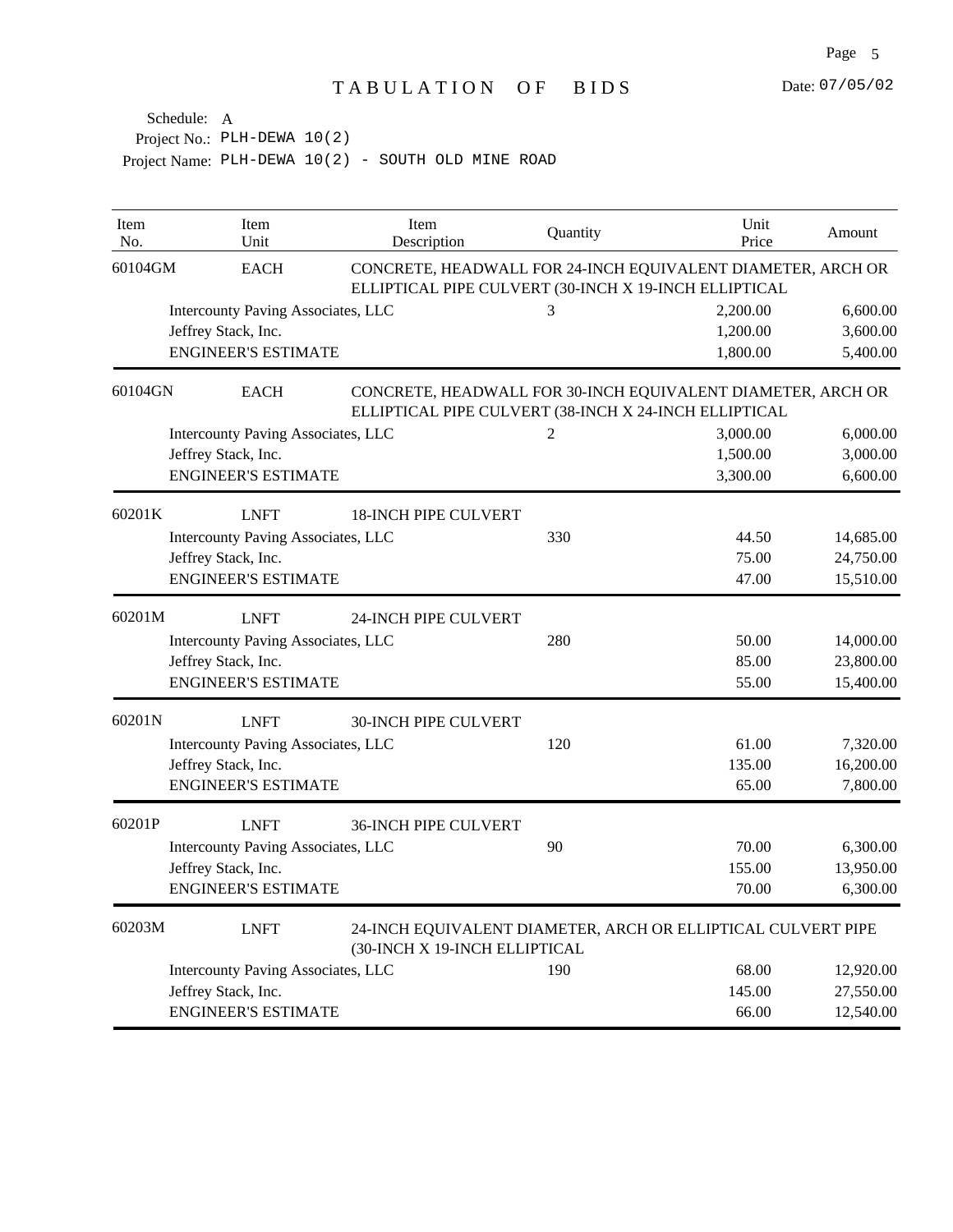| Item<br>No. | Item<br>Unit                              | Item<br>Description           | Quantity                                              | Unit<br>Price                                                | Amount    |
|-------------|-------------------------------------------|-------------------------------|-------------------------------------------------------|--------------------------------------------------------------|-----------|
| 60104GM     | <b>EACH</b>                               |                               | ELLIPTICAL PIPE CULVERT (30-INCH X 19-INCH ELLIPTICAL | CONCRETE, HEADWALL FOR 24-INCH EQUIVALENT DIAMETER, ARCH OR  |           |
|             | Intercounty Paving Associates, LLC        |                               | 3                                                     | 2,200.00                                                     | 6,600.00  |
|             | Jeffrey Stack, Inc.                       |                               |                                                       | 1,200.00                                                     | 3,600.00  |
|             | <b>ENGINEER'S ESTIMATE</b>                |                               |                                                       | 1,800.00                                                     | 5,400.00  |
| 60104GN     | <b>EACH</b>                               |                               | ELLIPTICAL PIPE CULVERT (38-INCH X 24-INCH ELLIPTICAL | CONCRETE, HEADWALL FOR 30-INCH EQUIVALENT DIAMETER, ARCH OR  |           |
|             | Intercounty Paving Associates, LLC        |                               | $\overline{c}$                                        | 3,000.00                                                     | 6,000.00  |
|             | Jeffrey Stack, Inc.                       |                               |                                                       | 1,500.00                                                     | 3,000.00  |
|             | <b>ENGINEER'S ESTIMATE</b>                |                               |                                                       | 3,300.00                                                     | 6,600.00  |
| 60201K      | <b>LNFT</b>                               | <b>18-INCH PIPE CULVERT</b>   |                                                       |                                                              |           |
|             | <b>Intercounty Paving Associates, LLC</b> |                               | 330                                                   | 44.50                                                        | 14,685.00 |
|             | Jeffrey Stack, Inc.                       |                               |                                                       | 75.00                                                        | 24,750.00 |
|             | <b>ENGINEER'S ESTIMATE</b>                |                               |                                                       | 47.00                                                        | 15,510.00 |
| 60201M      | <b>LNFT</b>                               | 24-INCH PIPE CULVERT          |                                                       |                                                              |           |
|             | Intercounty Paving Associates, LLC        |                               | 280                                                   | 50.00                                                        | 14,000.00 |
|             | Jeffrey Stack, Inc.                       |                               |                                                       | 85.00                                                        | 23,800.00 |
|             | <b>ENGINEER'S ESTIMATE</b>                |                               |                                                       | 55.00                                                        | 15,400.00 |
| 60201N      | <b>LNFT</b>                               | <b>30-INCH PIPE CULVERT</b>   |                                                       |                                                              |           |
|             | Intercounty Paving Associates, LLC        |                               | 120                                                   | 61.00                                                        | 7,320.00  |
|             | Jeffrey Stack, Inc.                       |                               |                                                       | 135.00                                                       | 16,200.00 |
|             | <b>ENGINEER'S ESTIMATE</b>                |                               |                                                       | 65.00                                                        | 7,800.00  |
| 60201P      | <b>LNFT</b>                               | <b>36-INCH PIPE CULVERT</b>   |                                                       |                                                              |           |
|             | Intercounty Paving Associates, LLC        |                               | 90                                                    | 70.00                                                        | 6,300.00  |
|             | Jeffrey Stack, Inc.                       |                               |                                                       | 155.00                                                       | 13,950.00 |
|             | <b>ENGINEER'S ESTIMATE</b>                |                               |                                                       | 70.00                                                        | 6,300.00  |
| 60203M      | <b>LNFT</b>                               | (30-INCH X 19-INCH ELLIPTICAL |                                                       | 24-INCH EQUIVALENT DIAMETER, ARCH OR ELLIPTICAL CULVERT PIPE |           |
|             | Intercounty Paving Associates, LLC        |                               | 190                                                   | 68.00                                                        | 12,920.00 |
|             | Jeffrey Stack, Inc.                       |                               |                                                       | 145.00                                                       | 27,550.00 |
|             | <b>ENGINEER'S ESTIMATE</b>                |                               |                                                       | 66.00                                                        | 12,540.00 |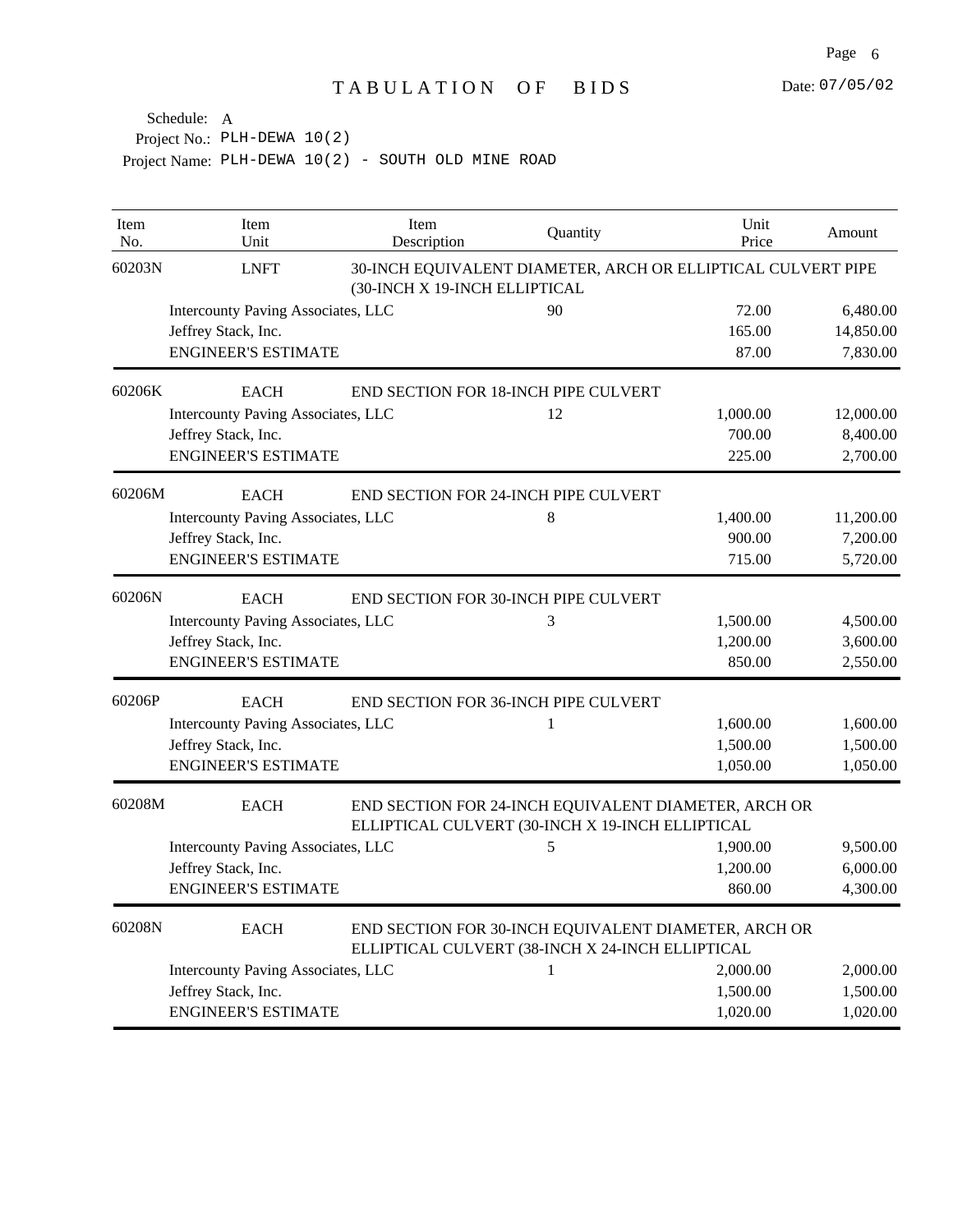| Item<br>No. | Item<br>Unit                                                                                                            | Item<br>Description           | Quantity                                                                                                 | Unit<br>Price | Amount    |
|-------------|-------------------------------------------------------------------------------------------------------------------------|-------------------------------|----------------------------------------------------------------------------------------------------------|---------------|-----------|
| 60203N      | <b>LNFT</b>                                                                                                             | (30-INCH X 19-INCH ELLIPTICAL | 30-INCH EQUIVALENT DIAMETER, ARCH OR ELLIPTICAL CULVERT PIPE                                             |               |           |
|             | Intercounty Paving Associates, LLC                                                                                      |                               | 90                                                                                                       | 72.00         | 6,480.00  |
|             | Jeffrey Stack, Inc.                                                                                                     |                               |                                                                                                          | 165.00        | 14,850.00 |
|             | <b>ENGINEER'S ESTIMATE</b>                                                                                              |                               |                                                                                                          | 87.00         | 7,830.00  |
| 60206K      | <b>EACH</b>                                                                                                             |                               | END SECTION FOR 18-INCH PIPE CULVERT                                                                     |               |           |
|             | Intercounty Paving Associates, LLC                                                                                      |                               | 12                                                                                                       | 1,000.00      | 12,000.00 |
|             | Jeffrey Stack, Inc.                                                                                                     |                               |                                                                                                          | 700.00        | 8,400.00  |
|             | <b>ENGINEER'S ESTIMATE</b>                                                                                              |                               |                                                                                                          | 225.00        | 2,700.00  |
| 60206M      | <b>EACH</b>                                                                                                             |                               | END SECTION FOR 24-INCH PIPE CULVERT                                                                     |               |           |
|             | Intercounty Paving Associates, LLC                                                                                      |                               | 8                                                                                                        | 1,400.00      | 11,200.00 |
|             | Jeffrey Stack, Inc.                                                                                                     |                               |                                                                                                          | 900.00        | 7,200.00  |
|             | <b>ENGINEER'S ESTIMATE</b>                                                                                              |                               |                                                                                                          | 715.00        | 5,720.00  |
| 60206N      | <b>EACH</b>                                                                                                             |                               | END SECTION FOR 30-INCH PIPE CULVERT                                                                     |               |           |
|             | Intercounty Paving Associates, LLC                                                                                      |                               | 3                                                                                                        | 1,500.00      | 4,500.00  |
|             | Jeffrey Stack, Inc.                                                                                                     |                               |                                                                                                          | 1,200.00      | 3,600.00  |
|             | <b>ENGINEER'S ESTIMATE</b>                                                                                              |                               |                                                                                                          | 850.00        | 2,550.00  |
| 60206P      | <b>EACH</b>                                                                                                             |                               | END SECTION FOR 36-INCH PIPE CULVERT                                                                     |               |           |
|             | Intercounty Paving Associates, LLC                                                                                      |                               | 1                                                                                                        | 1,600.00      | 1,600.00  |
|             | Jeffrey Stack, Inc.                                                                                                     |                               |                                                                                                          | 1,500.00      | 1,500.00  |
|             | <b>ENGINEER'S ESTIMATE</b>                                                                                              |                               |                                                                                                          | 1,050.00      | 1,050.00  |
| 60208M      | <b>EACH</b><br>END SECTION FOR 24-INCH EQUIVALENT DIAMETER, ARCH OR<br>ELLIPTICAL CULVERT (30-INCH X 19-INCH ELLIPTICAL |                               |                                                                                                          |               |           |
|             | Intercounty Paving Associates, LLC                                                                                      |                               | 5                                                                                                        | 1,900.00      | 9,500.00  |
|             | Jeffrey Stack, Inc.                                                                                                     |                               |                                                                                                          | 1,200.00      | 6,000.00  |
|             | <b>ENGINEER'S ESTIMATE</b>                                                                                              |                               |                                                                                                          | 860.00        | 4,300.00  |
| 60208N      | <b>EACH</b>                                                                                                             |                               | END SECTION FOR 30-INCH EQUIVALENT DIAMETER, ARCH OR<br>ELLIPTICAL CULVERT (38-INCH X 24-INCH ELLIPTICAL |               |           |
|             | Intercounty Paving Associates, LLC                                                                                      |                               | 1                                                                                                        | 2,000.00      | 2,000.00  |
|             | Jeffrey Stack, Inc.                                                                                                     |                               |                                                                                                          | 1,500.00      | 1,500.00  |
|             | <b>ENGINEER'S ESTIMATE</b>                                                                                              |                               |                                                                                                          | 1,020.00      | 1,020.00  |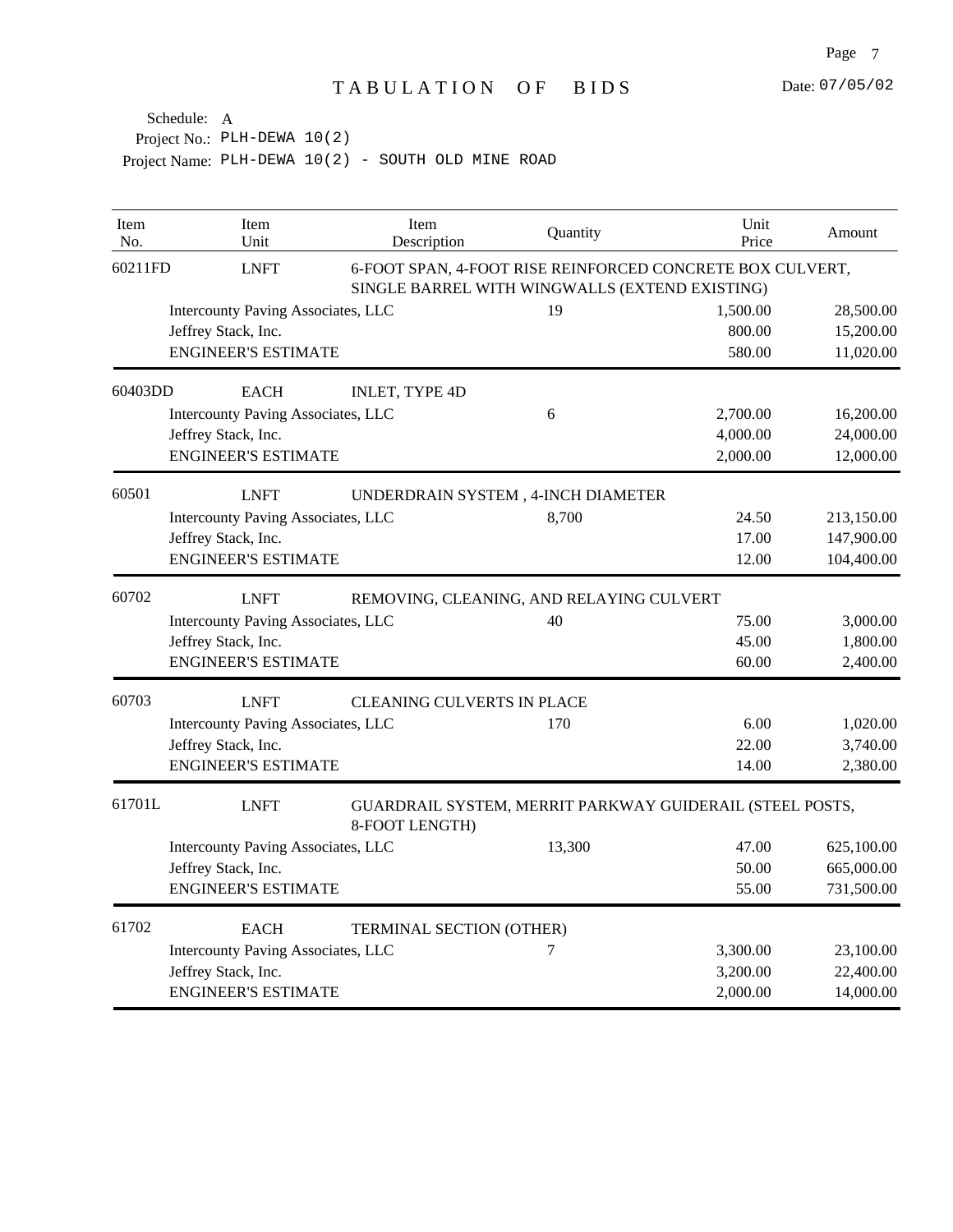| Item<br>No. | Item<br>Unit                       | Item<br>Description               | Quantity                                                                                                    | Unit<br>Price | Amount     |
|-------------|------------------------------------|-----------------------------------|-------------------------------------------------------------------------------------------------------------|---------------|------------|
| 60211FD     | <b>LNFT</b>                        |                                   | 6-FOOT SPAN, 4-FOOT RISE REINFORCED CONCRETE BOX CULVERT,<br>SINGLE BARREL WITH WINGWALLS (EXTEND EXISTING) |               |            |
|             | Intercounty Paving Associates, LLC |                                   | 19                                                                                                          | 1,500.00      | 28,500.00  |
|             | Jeffrey Stack, Inc.                |                                   |                                                                                                             | 800.00        | 15,200.00  |
|             | <b>ENGINEER'S ESTIMATE</b>         |                                   |                                                                                                             | 580.00        | 11,020.00  |
| 60403DD     | <b>EACH</b>                        | <b>INLET, TYPE 4D</b>             |                                                                                                             |               |            |
|             | Intercounty Paving Associates, LLC |                                   | 6                                                                                                           | 2,700.00      | 16,200.00  |
|             | Jeffrey Stack, Inc.                |                                   |                                                                                                             | 4,000.00      | 24,000.00  |
|             | <b>ENGINEER'S ESTIMATE</b>         |                                   |                                                                                                             | 2,000.00      | 12,000.00  |
| 60501       | <b>LNFT</b>                        |                                   | UNDERDRAIN SYSTEM, 4-INCH DIAMETER                                                                          |               |            |
|             | Intercounty Paving Associates, LLC |                                   | 8,700                                                                                                       | 24.50         | 213,150.00 |
|             | Jeffrey Stack, Inc.                |                                   |                                                                                                             | 17.00         | 147,900.00 |
|             | <b>ENGINEER'S ESTIMATE</b>         |                                   |                                                                                                             | 12.00         | 104,400.00 |
| 60702       | <b>LNFT</b>                        |                                   | REMOVING, CLEANING, AND RELAYING CULVERT                                                                    |               |            |
|             | Intercounty Paving Associates, LLC |                                   | 40                                                                                                          | 75.00         | 3,000.00   |
|             | Jeffrey Stack, Inc.                |                                   |                                                                                                             | 45.00         | 1,800.00   |
|             | <b>ENGINEER'S ESTIMATE</b>         |                                   |                                                                                                             | 60.00         | 2,400.00   |
| 60703       | <b>LNFT</b>                        | <b>CLEANING CULVERTS IN PLACE</b> |                                                                                                             |               |            |
|             | Intercounty Paving Associates, LLC |                                   | 170                                                                                                         | 6.00          | 1,020.00   |
|             | Jeffrey Stack, Inc.                |                                   |                                                                                                             | 22.00         | 3,740.00   |
|             | <b>ENGINEER'S ESTIMATE</b>         |                                   |                                                                                                             | 14.00         | 2,380.00   |
| 61701L      | <b>LNFT</b>                        | 8-FOOT LENGTH)                    | GUARDRAIL SYSTEM, MERRIT PARKWAY GUIDERAIL (STEEL POSTS,                                                    |               |            |
|             | Intercounty Paving Associates, LLC |                                   | 13,300                                                                                                      | 47.00         | 625,100.00 |
|             | Jeffrey Stack, Inc.                |                                   |                                                                                                             | 50.00         | 665,000.00 |
|             | <b>ENGINEER'S ESTIMATE</b>         |                                   |                                                                                                             | 55.00         | 731,500.00 |
| 61702       | <b>EACH</b>                        | TERMINAL SECTION (OTHER)          |                                                                                                             |               |            |
|             | Intercounty Paving Associates, LLC |                                   | 7                                                                                                           | 3,300.00      | 23,100.00  |
|             | Jeffrey Stack, Inc.                |                                   |                                                                                                             | 3,200.00      | 22,400.00  |
|             | <b>ENGINEER'S ESTIMATE</b>         |                                   |                                                                                                             | 2,000.00      | 14,000.00  |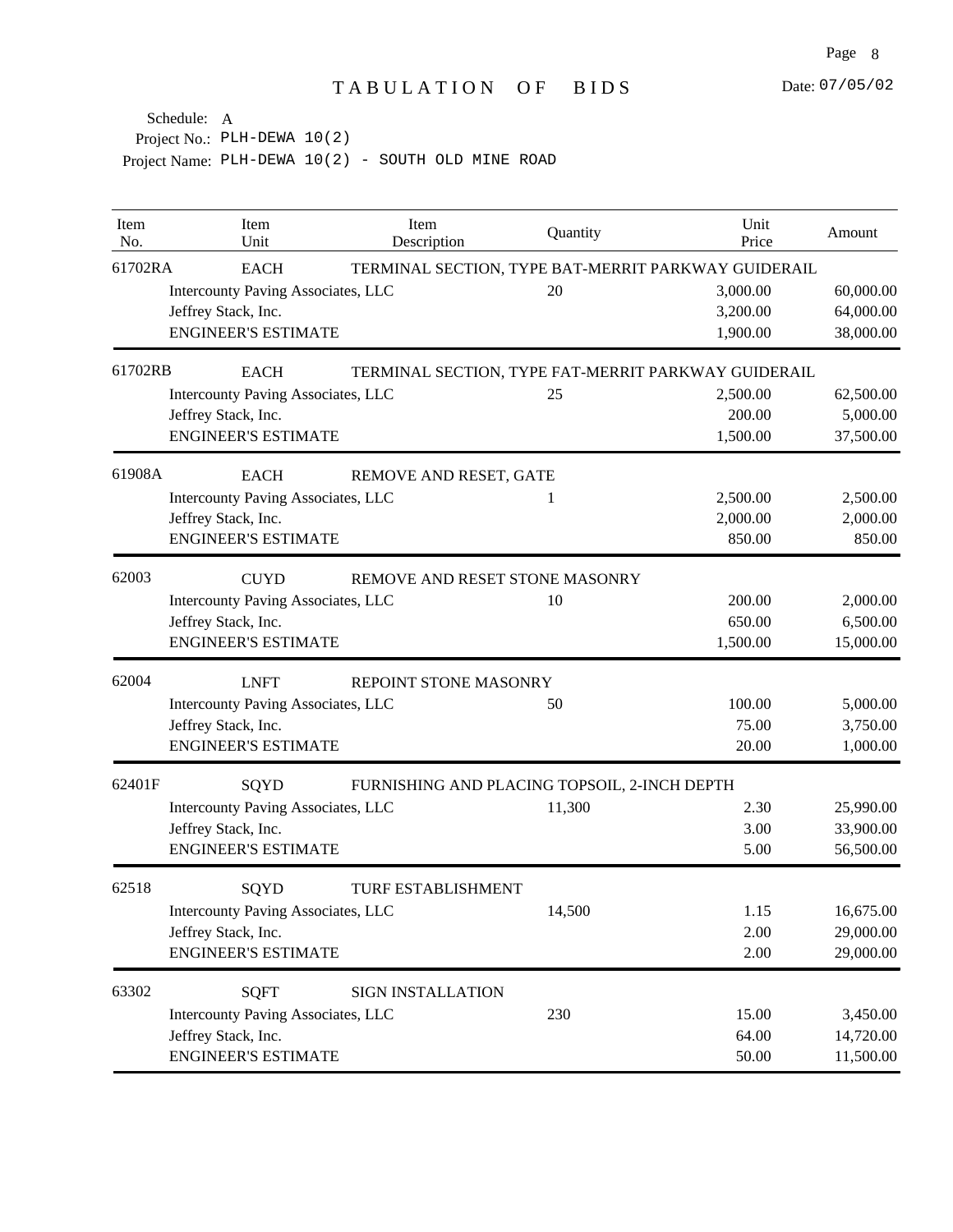| Item<br>No. | Item<br>Unit                                         | Item<br>Description       | Quantity                                            | Unit<br>Price | Amount    |  |
|-------------|------------------------------------------------------|---------------------------|-----------------------------------------------------|---------------|-----------|--|
| 61702RA     | <b>EACH</b>                                          |                           | TERMINAL SECTION, TYPE BAT-MERRIT PARKWAY GUIDERAIL |               |           |  |
|             | Intercounty Paving Associates, LLC                   |                           | 20                                                  | 3,000.00      | 60,000.00 |  |
|             | Jeffrey Stack, Inc.                                  |                           |                                                     | 3,200.00      | 64,000.00 |  |
|             | <b>ENGINEER'S ESTIMATE</b>                           |                           |                                                     | 1,900.00      | 38,000.00 |  |
| 61702RB     | <b>EACH</b>                                          |                           | TERMINAL SECTION, TYPE FAT-MERRIT PARKWAY GUIDERAIL |               |           |  |
|             | Intercounty Paving Associates, LLC                   |                           | 25                                                  | 2,500.00      | 62,500.00 |  |
|             | Jeffrey Stack, Inc.                                  |                           |                                                     | 200.00        | 5,000.00  |  |
|             | <b>ENGINEER'S ESTIMATE</b>                           |                           |                                                     | 1,500.00      | 37,500.00 |  |
| 61908A      | <b>EACH</b>                                          | REMOVE AND RESET, GATE    |                                                     |               |           |  |
|             | Intercounty Paving Associates, LLC                   |                           | 1                                                   | 2,500.00      | 2,500.00  |  |
|             | Jeffrey Stack, Inc.                                  |                           |                                                     | 2,000.00      | 2,000.00  |  |
|             | <b>ENGINEER'S ESTIMATE</b>                           |                           |                                                     | 850.00        | 850.00    |  |
| 62003       | <b>CUYD</b>                                          |                           | REMOVE AND RESET STONE MASONRY                      |               |           |  |
|             | Intercounty Paving Associates, LLC                   |                           | 10                                                  | 200.00        | 2,000.00  |  |
|             | Jeffrey Stack, Inc.                                  |                           |                                                     | 650.00        | 6,500.00  |  |
|             | <b>ENGINEER'S ESTIMATE</b>                           |                           |                                                     | 1,500.00      | 15,000.00 |  |
| 62004       | <b>LNFT</b><br>REPOINT STONE MASONRY                 |                           |                                                     |               |           |  |
|             | Intercounty Paving Associates, LLC                   |                           | 50                                                  | 100.00        | 5,000.00  |  |
|             | Jeffrey Stack, Inc.                                  |                           |                                                     | 75.00         | 3,750.00  |  |
|             | <b>ENGINEER'S ESTIMATE</b>                           |                           |                                                     | 20.00         | 1,000.00  |  |
| 62401F      | SQYD<br>FURNISHING AND PLACING TOPSOIL, 2-INCH DEPTH |                           |                                                     |               |           |  |
|             | Intercounty Paving Associates, LLC                   |                           | 11,300                                              | 2.30          | 25,990.00 |  |
|             | Jeffrey Stack, Inc.                                  |                           |                                                     | 3.00          | 33,900.00 |  |
|             | <b>ENGINEER'S ESTIMATE</b>                           |                           |                                                     | 5.00          | 56,500.00 |  |
| 62518       | SQYD                                                 | <b>TURF ESTABLISHMENT</b> |                                                     |               |           |  |
|             | Intercounty Paving Associates, LLC                   |                           | 14,500                                              | 1.15          | 16,675.00 |  |
|             | Jeffrey Stack, Inc.                                  |                           |                                                     | 2.00          | 29,000.00 |  |
|             | <b>ENGINEER'S ESTIMATE</b>                           |                           |                                                     | 2.00          | 29,000.00 |  |
| 63302       | <b>SQFT</b>                                          | <b>SIGN INSTALLATION</b>  |                                                     |               |           |  |
|             | Intercounty Paving Associates, LLC                   |                           | 230                                                 | 15.00         | 3,450.00  |  |
|             | Jeffrey Stack, Inc.                                  |                           |                                                     | 64.00         | 14,720.00 |  |
|             | <b>ENGINEER'S ESTIMATE</b>                           |                           |                                                     | 50.00         | 11,500.00 |  |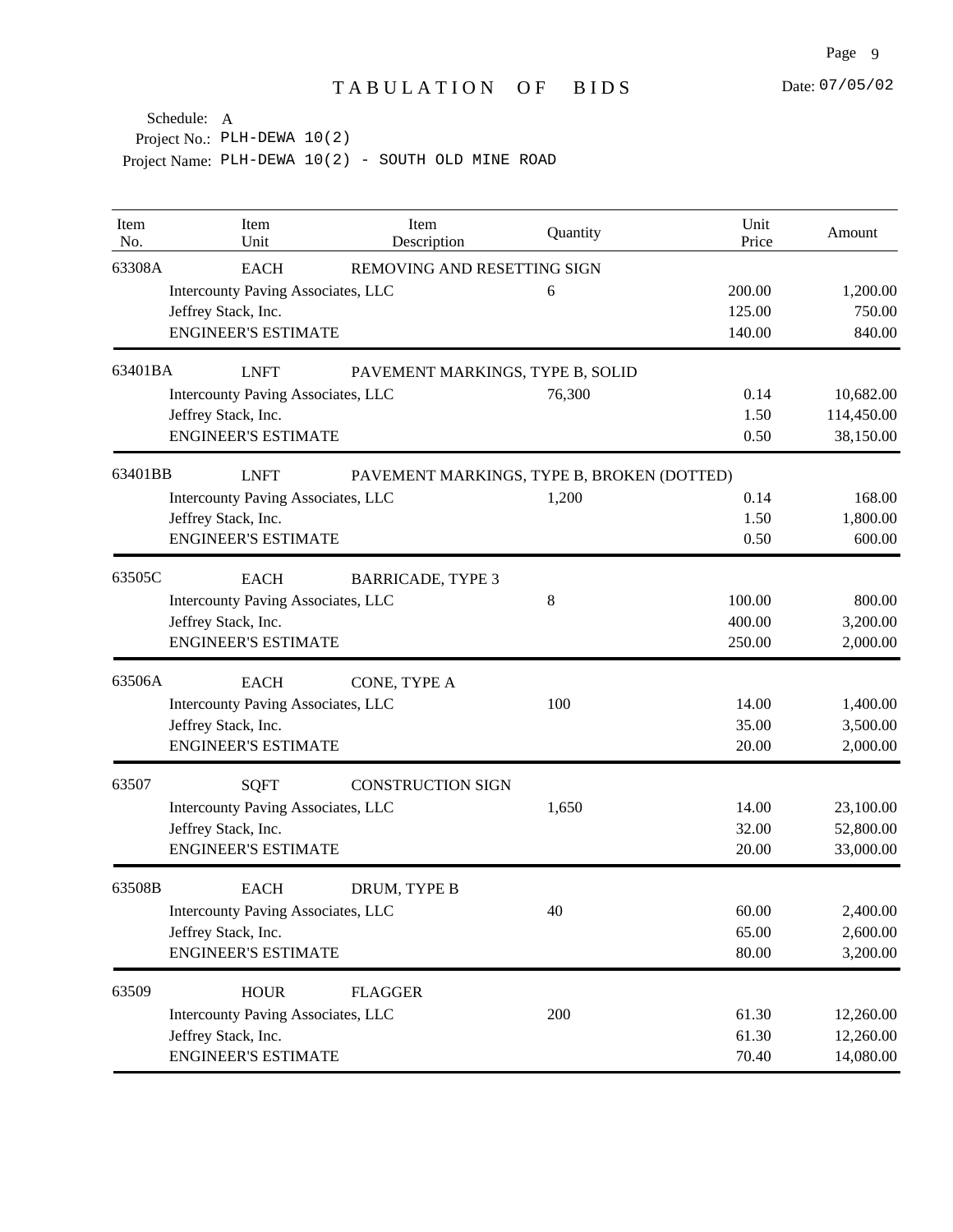| Item<br>No. | Item<br>Unit                       | Item<br>Description              | Quantity                                   | Unit<br>Price | Amount     |
|-------------|------------------------------------|----------------------------------|--------------------------------------------|---------------|------------|
| 63308A      | <b>EACH</b>                        | REMOVING AND RESETTING SIGN      |                                            |               |            |
|             | Intercounty Paving Associates, LLC |                                  | 6                                          | 200.00        | 1,200.00   |
|             | Jeffrey Stack, Inc.                |                                  |                                            | 125.00        | 750.00     |
|             | <b>ENGINEER'S ESTIMATE</b>         |                                  |                                            | 140.00        | 840.00     |
| 63401BA     | <b>LNFT</b>                        | PAVEMENT MARKINGS, TYPE B, SOLID |                                            |               |            |
|             | Intercounty Paving Associates, LLC |                                  | 76,300                                     | 0.14          | 10,682.00  |
|             | Jeffrey Stack, Inc.                |                                  |                                            | 1.50          | 114,450.00 |
|             | <b>ENGINEER'S ESTIMATE</b>         |                                  |                                            | 0.50          | 38,150.00  |
| 63401BB     | <b>LNFT</b>                        |                                  | PAVEMENT MARKINGS, TYPE B, BROKEN (DOTTED) |               |            |
|             | Intercounty Paving Associates, LLC |                                  | 1,200                                      | 0.14          | 168.00     |
|             | Jeffrey Stack, Inc.                |                                  |                                            | 1.50          | 1,800.00   |
|             | <b>ENGINEER'S ESTIMATE</b>         |                                  |                                            | 0.50          | 600.00     |
| 63505C      | <b>EACH</b>                        | <b>BARRICADE, TYPE 3</b>         |                                            |               |            |
|             | Intercounty Paving Associates, LLC |                                  | 8                                          | 100.00        | 800.00     |
|             | Jeffrey Stack, Inc.                |                                  |                                            | 400.00        | 3,200.00   |
|             | <b>ENGINEER'S ESTIMATE</b>         |                                  |                                            | 250.00        | 2,000.00   |
| 63506A      | <b>EACH</b>                        | CONE, TYPE A                     |                                            |               |            |
|             | Intercounty Paving Associates, LLC |                                  | 100                                        | 14.00         | 1,400.00   |
|             | Jeffrey Stack, Inc.                |                                  |                                            | 35.00         | 3,500.00   |
|             | <b>ENGINEER'S ESTIMATE</b>         |                                  |                                            | 20.00         | 2,000.00   |
| 63507       | <b>SQFT</b>                        | <b>CONSTRUCTION SIGN</b>         |                                            |               |            |
|             | Intercounty Paving Associates, LLC |                                  | 1,650                                      | 14.00         | 23,100.00  |
|             | Jeffrey Stack, Inc.                |                                  |                                            | 32.00         | 52,800.00  |
|             | <b>ENGINEER'S ESTIMATE</b>         |                                  |                                            | 20.00         | 33,000.00  |
| 63508B      | <b>EACH</b>                        | DRUM, TYPE B                     |                                            |               |            |
|             | Intercounty Paving Associates, LLC |                                  | 40                                         | 60.00         | 2,400.00   |
|             | Jeffrey Stack, Inc.                |                                  |                                            | 65.00         | 2,600.00   |
|             | <b>ENGINEER'S ESTIMATE</b>         |                                  |                                            | 80.00         | 3,200.00   |
| 63509       | <b>HOUR</b>                        | <b>FLAGGER</b>                   |                                            |               |            |
|             | Intercounty Paving Associates, LLC |                                  | 200                                        | 61.30         | 12,260.00  |
|             | Jeffrey Stack, Inc.                |                                  |                                            | 61.30         | 12,260.00  |
|             | <b>ENGINEER'S ESTIMATE</b>         |                                  |                                            | 70.40         | 14,080.00  |